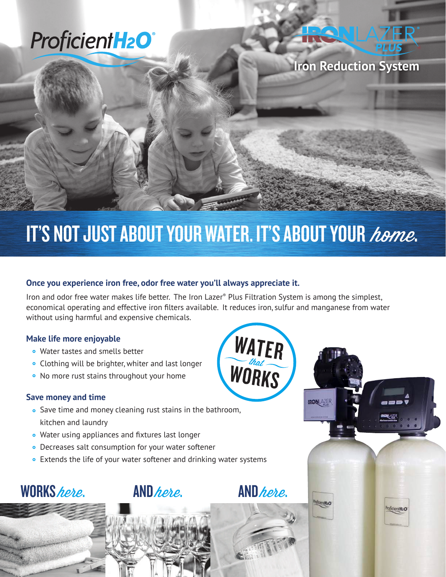# **ProficientH<sub>2</sub>O**<sup>®</sup>

### **Iron Reduction System**

## IT'S NOT JUST ABOUT YOUR WATER. IT'S ABOUT YOUR home.

#### **Once you experience iron free, odor free water you'll always appreciate it.**

Iron and odor free water makes life better. The Iron Lazer® Plus Filtration System is among the simplest, economical operating and effective iron filters available. It reduces iron, sulfur and manganese from water without using harmful and expensive chemicals.

**WATER** 

WORKS

**IRON**LAZER

#### **Make life more enjoyable**

- Water tastes and smells better
- Clothing will be brighter, whiter and last longer
- No more rust stains throughout your home

#### **Save money and time**

- Save time and money cleaning rust stains in the bathroom, kitchen and laundry
- Water using appliances and fixtures last longer
- Decreases salt consumption for your water softener